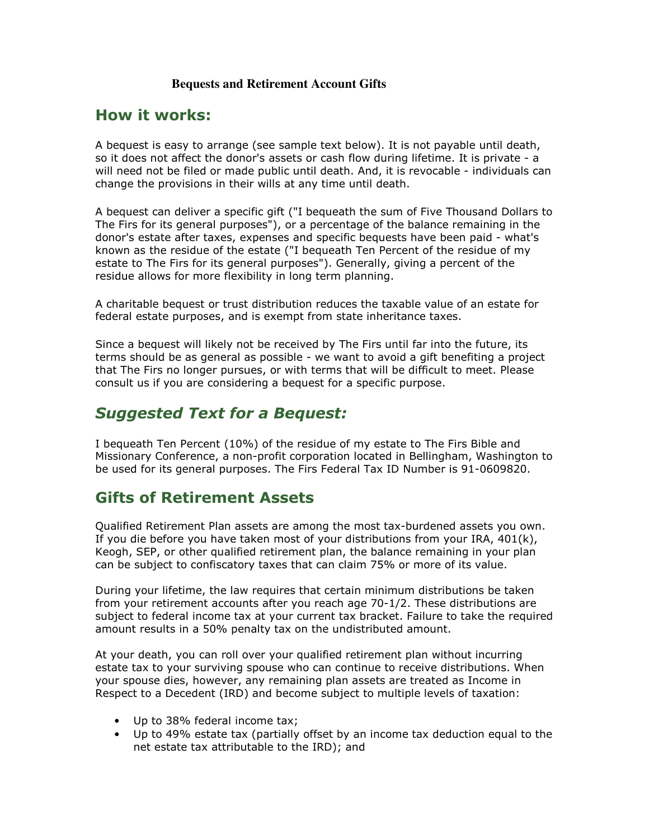## **Bequests and Retirement Account Gifts**

## How it works:

A bequest is easy to arrange (see sample text below). It is not payable until death, so it does not affect the donor's assets or cash flow during lifetime. It is private - a will need not be filed or made public until death. And, it is revocable - individuals can change the provisions in their wills at any time until death.

A bequest can deliver a specific gift ("I bequeath the sum of Five Thousand Dollars to The Firs for its general purposes"), or a percentage of the balance remaining in the donor's estate after taxes, expenses and specific bequests have been paid - what's known as the residue of the estate ("I bequeath Ten Percent of the residue of my estate to The Firs for its general purposes"). Generally, giving a percent of the residue allows for more flexibility in long term planning.

A charitable bequest or trust distribution reduces the taxable value of an estate for federal estate purposes, and is exempt from state inheritance taxes.

Since a bequest will likely not be received by The Firs until far into the future, its terms should be as general as possible - we want to avoid a gift benefiting a project that The Firs no longer pursues, or with terms that will be difficult to meet. Please consult us if you are considering a bequest for a specific purpose.

## Suggested Text for a Bequest:

I bequeath Ten Percent (10%) of the residue of my estate to The Firs Bible and Missionary Conference, a non-profit corporation located in Bellingham, Washington to be used for its general purposes. The Firs Federal Tax ID Number is 91-0609820.

## Gifts of Retirement Assets

Qualified Retirement Plan assets are among the most tax-burdened assets you own. If you die before you have taken most of your distributions from your IRA, 401(k), Keogh, SEP, or other qualified retirement plan, the balance remaining in your plan can be subject to confiscatory taxes that can claim 75% or more of its value.

During your lifetime, the law requires that certain minimum distributions be taken from your retirement accounts after you reach age 70-1/2. These distributions are subject to federal income tax at your current tax bracket. Failure to take the required amount results in a 50% penalty tax on the undistributed amount.

At your death, you can roll over your qualified retirement plan without incurring estate tax to your surviving spouse who can continue to receive distributions. When your spouse dies, however, any remaining plan assets are treated as Income in Respect to a Decedent (IRD) and become subject to multiple levels of taxation:

- Up to 38% federal income tax;
- Up to 49% estate tax (partially offset by an income tax deduction equal to the net estate tax attributable to the IRD); and